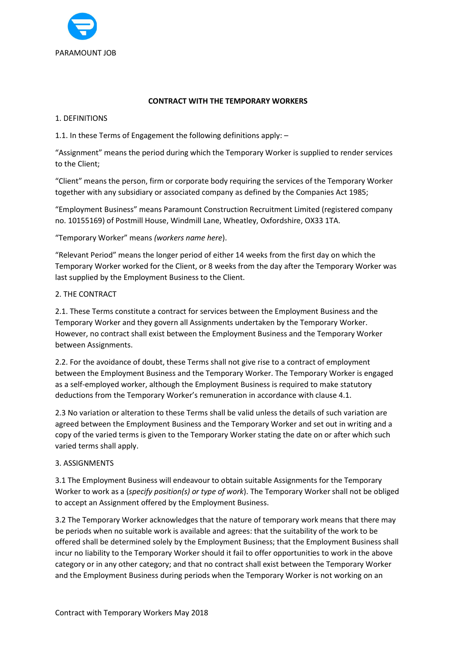

### CONTRACT WITH THE TEMPORARY WORKERS

### 1. DEFINITIONS

1.1. In these Terms of Engagement the following definitions apply: –

"Assignment" means the period during which the Temporary Worker is supplied to render services to the Client;

"Client" means the person, firm or corporate body requiring the services of the Temporary Worker together with any subsidiary or associated company as defined by the Companies Act 1985;

"Employment Business" means Paramount Construction Recruitment Limited (registered company no. 10155169) of Postmill House, Windmill Lane, Wheatley, Oxfordshire, OX33 1TA.

"Temporary Worker" means (workers name here).

"Relevant Period" means the longer period of either 14 weeks from the first day on which the Temporary Worker worked for the Client, or 8 weeks from the day after the Temporary Worker was last supplied by the Employment Business to the Client.

# 2. THE CONTRACT

2.1. These Terms constitute a contract for services between the Employment Business and the Temporary Worker and they govern all Assignments undertaken by the Temporary Worker. However, no contract shall exist between the Employment Business and the Temporary Worker between Assignments.

2.2. For the avoidance of doubt, these Terms shall not give rise to a contract of employment between the Employment Business and the Temporary Worker. The Temporary Worker is engaged as a self-employed worker, although the Employment Business is required to make statutory deductions from the Temporary Worker's remuneration in accordance with clause 4.1.

2.3 No variation or alteration to these Terms shall be valid unless the details of such variation are agreed between the Employment Business and the Temporary Worker and set out in writing and a copy of the varied terms is given to the Temporary Worker stating the date on or after which such varied terms shall apply.

### 3. ASSIGNMENTS

3.1 The Employment Business will endeavour to obtain suitable Assignments for the Temporary Worker to work as a (specify position(s) or type of work). The Temporary Worker shall not be obliged to accept an Assignment offered by the Employment Business.

3.2 The Temporary Worker acknowledges that the nature of temporary work means that there may be periods when no suitable work is available and agrees: that the suitability of the work to be offered shall be determined solely by the Employment Business; that the Employment Business shall incur no liability to the Temporary Worker should it fail to offer opportunities to work in the above category or in any other category; and that no contract shall exist between the Temporary Worker and the Employment Business during periods when the Temporary Worker is not working on an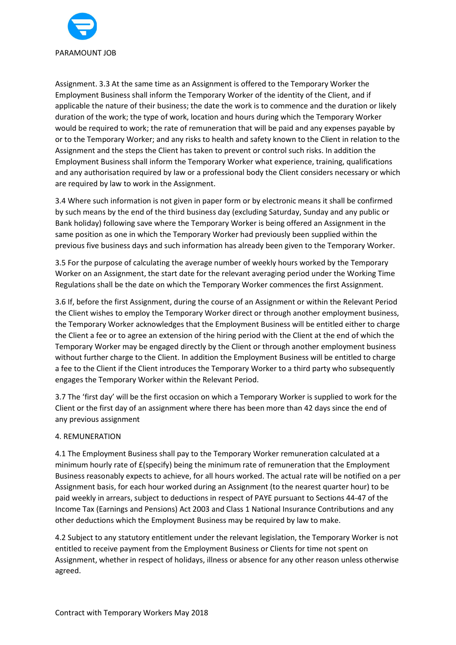

Assignment. 3.3 At the same time as an Assignment is offered to the Temporary Worker the Employment Business shall inform the Temporary Worker of the identity of the Client, and if applicable the nature of their business; the date the work is to commence and the duration or likely duration of the work; the type of work, location and hours during which the Temporary Worker would be required to work; the rate of remuneration that will be paid and any expenses payable by or to the Temporary Worker; and any risks to health and safety known to the Client in relation to the Assignment and the steps the Client has taken to prevent or control such risks. In addition the Employment Business shall inform the Temporary Worker what experience, training, qualifications and any authorisation required by law or a professional body the Client considers necessary or which are required by law to work in the Assignment.

3.4 Where such information is not given in paper form or by electronic means it shall be confirmed by such means by the end of the third business day (excluding Saturday, Sunday and any public or Bank holiday) following save where the Temporary Worker is being offered an Assignment in the same position as one in which the Temporary Worker had previously been supplied within the previous five business days and such information has already been given to the Temporary Worker.

3.5 For the purpose of calculating the average number of weekly hours worked by the Temporary Worker on an Assignment, the start date for the relevant averaging period under the Working Time Regulations shall be the date on which the Temporary Worker commences the first Assignment.

3.6 If, before the first Assignment, during the course of an Assignment or within the Relevant Period the Client wishes to employ the Temporary Worker direct or through another employment business, the Temporary Worker acknowledges that the Employment Business will be entitled either to charge the Client a fee or to agree an extension of the hiring period with the Client at the end of which the Temporary Worker may be engaged directly by the Client or through another employment business without further charge to the Client. In addition the Employment Business will be entitled to charge a fee to the Client if the Client introduces the Temporary Worker to a third party who subsequently engages the Temporary Worker within the Relevant Period.

3.7 The 'first day' will be the first occasion on which a Temporary Worker is supplied to work for the Client or the first day of an assignment where there has been more than 42 days since the end of any previous assignment

### 4. REMUNERATION

4.1 The Employment Business shall pay to the Temporary Worker remuneration calculated at a minimum hourly rate of £(specify) being the minimum rate of remuneration that the Employment Business reasonably expects to achieve, for all hours worked. The actual rate will be notified on a per Assignment basis, for each hour worked during an Assignment (to the nearest quarter hour) to be paid weekly in arrears, subject to deductions in respect of PAYE pursuant to Sections 44-47 of the Income Tax (Earnings and Pensions) Act 2003 and Class 1 National Insurance Contributions and any other deductions which the Employment Business may be required by law to make.

4.2 Subject to any statutory entitlement under the relevant legislation, the Temporary Worker is not entitled to receive payment from the Employment Business or Clients for time not spent on Assignment, whether in respect of holidays, illness or absence for any other reason unless otherwise agreed.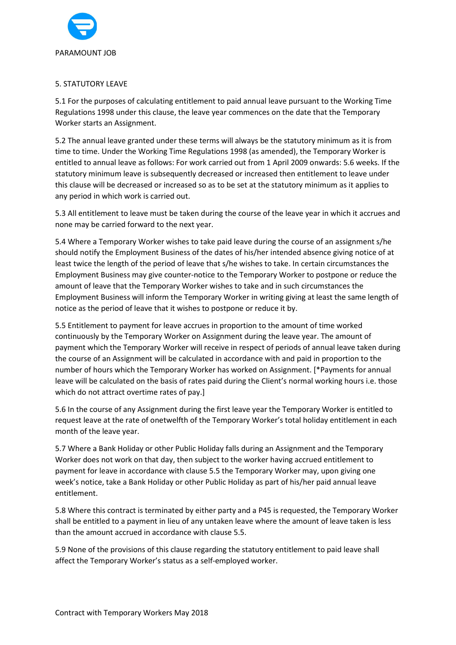

### 5. STATUTORY LEAVE

5.1 For the purposes of calculating entitlement to paid annual leave pursuant to the Working Time Regulations 1998 under this clause, the leave year commences on the date that the Temporary Worker starts an Assignment.

5.2 The annual leave granted under these terms will always be the statutory minimum as it is from time to time. Under the Working Time Regulations 1998 (as amended), the Temporary Worker is entitled to annual leave as follows: For work carried out from 1 April 2009 onwards: 5.6 weeks. If the statutory minimum leave is subsequently decreased or increased then entitlement to leave under this clause will be decreased or increased so as to be set at the statutory minimum as it applies to any period in which work is carried out.

5.3 All entitlement to leave must be taken during the course of the leave year in which it accrues and none may be carried forward to the next year.

5.4 Where a Temporary Worker wishes to take paid leave during the course of an assignment s/he should notify the Employment Business of the dates of his/her intended absence giving notice of at least twice the length of the period of leave that s/he wishes to take. In certain circumstances the Employment Business may give counter-notice to the Temporary Worker to postpone or reduce the amount of leave that the Temporary Worker wishes to take and in such circumstances the Employment Business will inform the Temporary Worker in writing giving at least the same length of notice as the period of leave that it wishes to postpone or reduce it by.

5.5 Entitlement to payment for leave accrues in proportion to the amount of time worked continuously by the Temporary Worker on Assignment during the leave year. The amount of payment which the Temporary Worker will receive in respect of periods of annual leave taken during the course of an Assignment will be calculated in accordance with and paid in proportion to the number of hours which the Temporary Worker has worked on Assignment. [\*Payments for annual leave will be calculated on the basis of rates paid during the Client's normal working hours i.e. those which do not attract overtime rates of pay.]

5.6 In the course of any Assignment during the first leave year the Temporary Worker is entitled to request leave at the rate of onetwelfth of the Temporary Worker's total holiday entitlement in each month of the leave year.

5.7 Where a Bank Holiday or other Public Holiday falls during an Assignment and the Temporary Worker does not work on that day, then subject to the worker having accrued entitlement to payment for leave in accordance with clause 5.5 the Temporary Worker may, upon giving one week's notice, take a Bank Holiday or other Public Holiday as part of his/her paid annual leave entitlement.

5.8 Where this contract is terminated by either party and a P45 is requested, the Temporary Worker shall be entitled to a payment in lieu of any untaken leave where the amount of leave taken is less than the amount accrued in accordance with clause 5.5.

5.9 None of the provisions of this clause regarding the statutory entitlement to paid leave shall affect the Temporary Worker's status as a self-employed worker.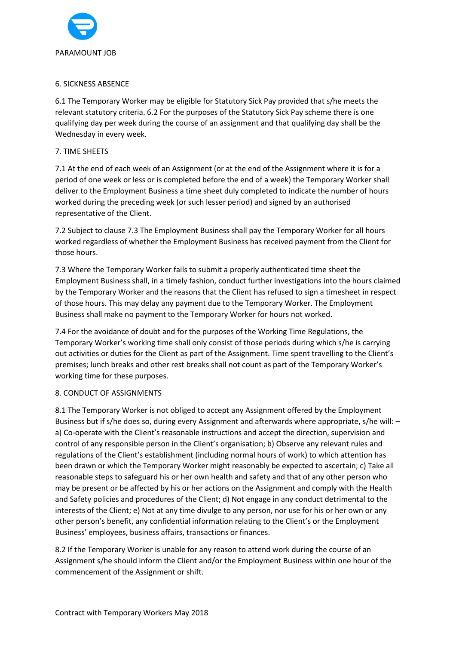

### 6. SICKNESS ABSENCE

6.1 The Temporary Worker may be eligible for Statutory Sick Pay provided that s/he meets the relevant statutory criteria. 6.2 For the purposes of the Statutory Sick Pay scheme there is one qualifying day per week during the course of an assignment and that qualifying day shall be the Wednesday in every week.

# 7. TIME SHEETS

7.1 At the end of each week of an Assignment (or at the end of the Assignment where it is for a period of one week or less or is completed before the end of a week) the Temporary Worker shall deliver to the Employment Business a time sheet duly completed to indicate the number of hours worked during the preceding week (or such lesser period) and signed by an authorised representative of the Client.

7.2 Subject to clause 7.3 The Employment Business shall pay the Temporary Worker for all hours worked regardless of whether the Employment Business has received payment from the Client for those hours.

7.3 Where the Temporary Worker fails to submit a properly authenticated time sheet the Employment Business shall, in a timely fashion, conduct further investigations into the hours claimed by the Temporary Worker and the reasons that the Client has refused to sign a timesheet in respect of those hours. This may delay any payment due to the Temporary Worker. The Employment Business shall make no payment to the Temporary Worker for hours not worked.

7.4 For the avoidance of doubt and for the purposes of the Working Time Regulations, the Temporary Worker's working time shall only consist of those periods during which s/he is carrying out activities or duties for the Client as part of the Assignment. Time spent travelling to the Client's premises; lunch breaks and other rest breaks shall not count as part of the Temporary Worker's working time for these purposes.

### 8. CONDUCT OF ASSIGNMENTS

8.1 The Temporary Worker is not obliged to accept any Assignment offered by the Employment Business but if s/he does so, during every Assignment and afterwards where appropriate, s/he will: – a) Co-operate with the Client's reasonable instructions and accept the direction, supervision and control of any responsible person in the Client's organisation; b) Observe any relevant rules and regulations of the Client's establishment (including normal hours of work) to which attention has been drawn or which the Temporary Worker might reasonably be expected to ascertain; c) Take all reasonable steps to safeguard his or her own health and safety and that of any other person who may be present or be affected by his or her actions on the Assignment and comply with the Health and Safety policies and procedures of the Client; d) Not engage in any conduct detrimental to the interests of the Client; e) Not at any time divulge to any person, nor use for his or her own or any other person's benefit, any confidential information relating to the Client's or the Employment Business' employees, business affairs, transactions or finances.

8.2 If the Temporary Worker is unable for any reason to attend work during the course of an Assignment s/he should inform the Client and/or the Employment Business within one hour of the commencement of the Assignment or shift.